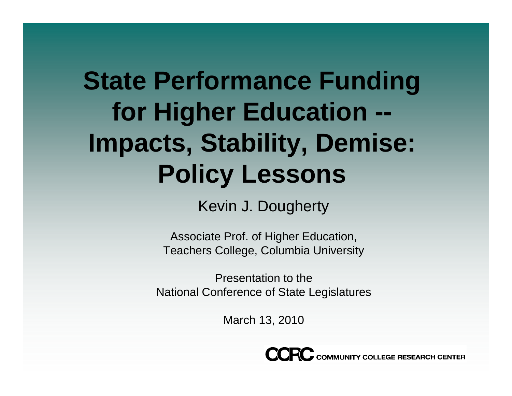## **State Performance Funding for Hi gher Education -- Impacts, Stability, Demise: Policy Lessons**

Kevin J. Dougherty

Associate Prof. of Higher Education, Teachers College, Columbia University

Presentation to the National Conference of State Legislatures

March 13, 2010

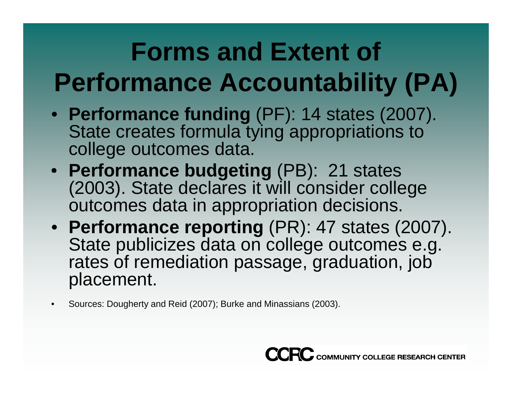## **Forms and Extent of Performance Accountability (PA)**

- Performance funding (PF): 14 states (2007). State creates formula tying appropriations to college outcomes data.
- **Performance budgeting** (PB): 21 states (2003). State declares it will consider college outcomes data in appropriation decisions.
- Performance reporting (PR): 47 states (2007). State publicizes data on college outcomes e.g. rates of remediation passage, graduation, job placement.
- •Sources: Dougherty and Reid (2007); Burke and Minassians (2003).

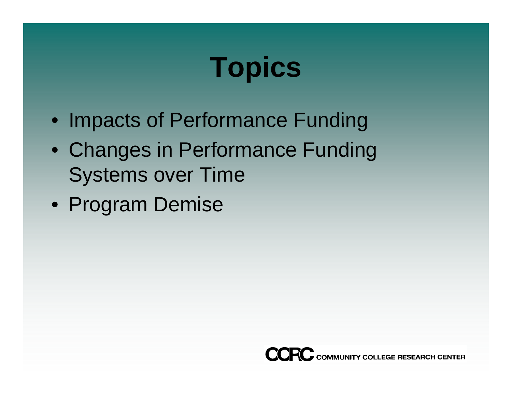# **Topics**

- Impacts of Performance Funding
- Changes in Performance Funding Systems over Time
- Program Demise

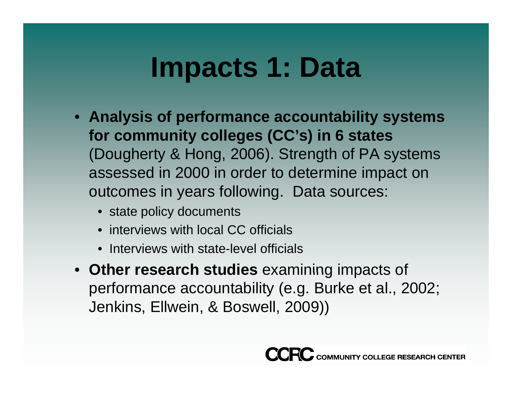#### **Impacts 1: Data**

- **Anal y p yy sis of performance accountabilit y s ystems for community colleges (CC's) in 6 states** (Dougherty & Hong, 2006). Strength of PA systems assessed in 2000 in order to determine impact on outcomes in years following. Data sources:
	- state policy documents
	- interviews with local CC officials
	- Interviews with state-level officials
- **Other research studies** examining impacts of impacts performance accountability (e.g. Burke et al., 2002; Jenkins, Ellwein, & Boswell, 2009))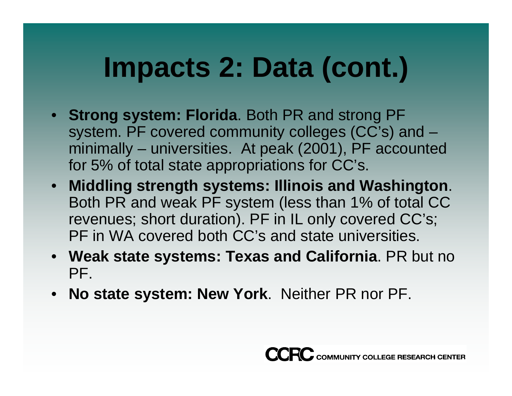# **Impacts 2: Data (cont.)**

- **Strong system: Florida. Both PR and strong PF** system. PF covered community colleges (CC's) and – minimally – universities. At peak (2001), PF accounted for 5% of total state appropriations for  $CC$ 's.
- **Middling strength systems: Illinois and Washington**. Both PR and weak PF system (less than 1% of total CC revenues; short duration). PF in IL only covered CC's; PF in WA covered both CC's and state universities.
- **Weak state systems: Texas and California**. PR but no PF.
- **No state system: New York**. Neither PR nor PF.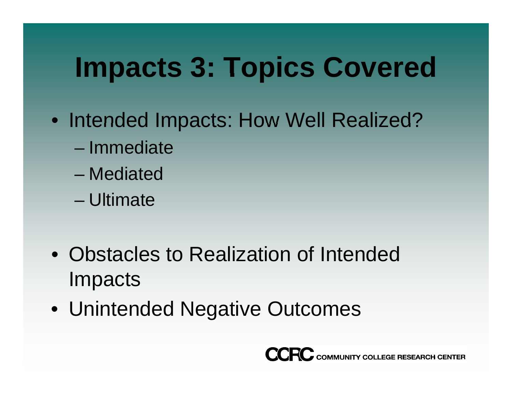# **Impacts 3: Topics Covered**

- Intended Impacts: How Well Realized?
	- Immediate
	- Mediated
	- Ultimate
- Obstacles to Realization of Intended Impacts
- Unintended Negative Outcomes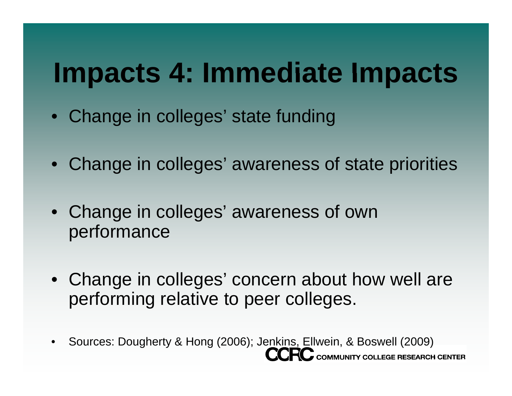#### **Impacts 4: Immediate Impacts**

- Change in colleges' state funding
- Change in colleges' awareness of state priorities
- Change in colleges' awareness of own performance
- Change in colleges' concern about how well are performing relative to peer colleges.
- Sources: Dougherty & Hong (2006); Jenkins, Ellwein, & Boswell (2009) $\bullet$ C COMMUNITY COLLEGE RESEARCH CENTER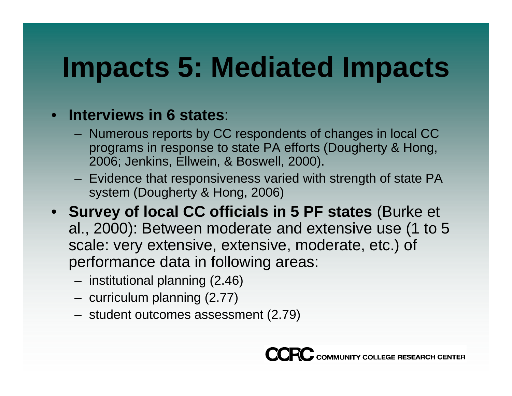# **Impacts 5: Mediated Impacts**

#### • **Interviews in 6 states**:

- Numerous reports by CC respondents of changes in local CC programs in response to state PA efforts (Dougherty & Hong, 2006; Jenkins, Ellwein, & Boswell, 2000).
- Evidence that responsiveness varied with strength of state PA system (Dougherty & Hong, 2006)
- **Survey of local CC officials in 5 PF states** (Burke et al., 2000): Between moderate and extensive use (1 to 5 scale: very extensive, extensive, moderate, etc.) of performance data in following areas:
	- institutional planning (2.46)
	- curriculum planning (2.77)
	- student outcomes assessment (2.79)

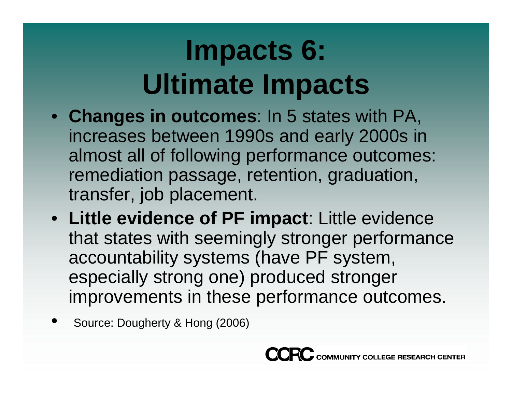# **Impacts 6: Ultimate Impacts**

- **Chan ges in outcomes**: In 5 states with PA, increases between 1990s and early 2000s in almost all of following performance outcomes: remediation passage, retention, graduation, transfer, job placement.
- **Little evidence of PF impact** : Little evidence that states with seemingly stronger performance accountability systems (have PF system, especially strong one) produced stronger improvements in these performance outcomes.
- •**• Source: Dougherty & Hong (2006)**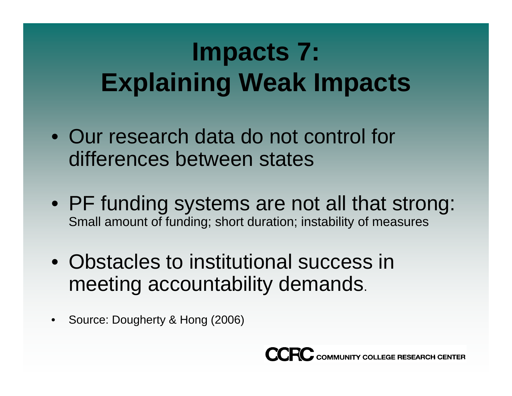## **Impacts 7: E l i i W kI Explaining Weak Impacts**

- Our research data do not control for differences between states
- PF funding systems are not all that strong: Small amount of funding; short duration; instability of measures
- Obstacles to institutional success in meeting accountability demands.
- $\bullet$ Source: Dougherty & Hong (2006)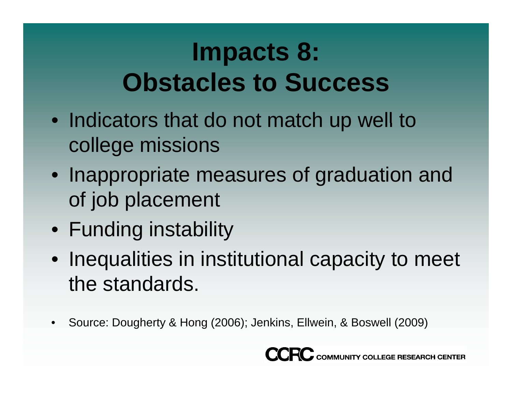#### **Impacts 8: CObstacles to Success**

- Indicators that do not match up well to college missions
- Inappropriate measures of graduation and of job placement
- Funding instability
- Inequalities in institutional capacity to meet the standards.
- •Source: Dougherty & Hong (2006); Jenkins, Ellwein, & Boswell (2009)

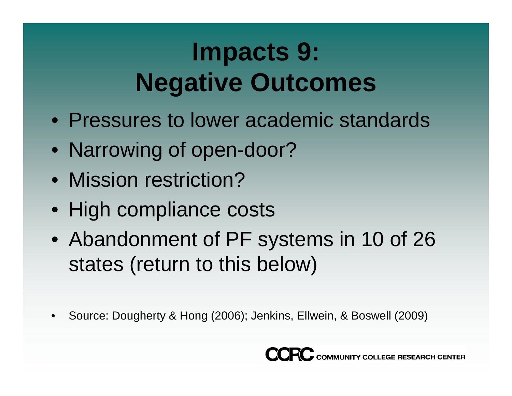#### **Impacts 9: Negative Outcomes**

- Pressures to lower academic standards
- Narrowing of open-door?
- Mission restriction?
- High compliance costs
- Abandonment of PF systems in 10 of 26 states (return to this below)
- •Source: Dougherty & Hong (2006); Jenkins, Ellwein, & Boswell (2009)

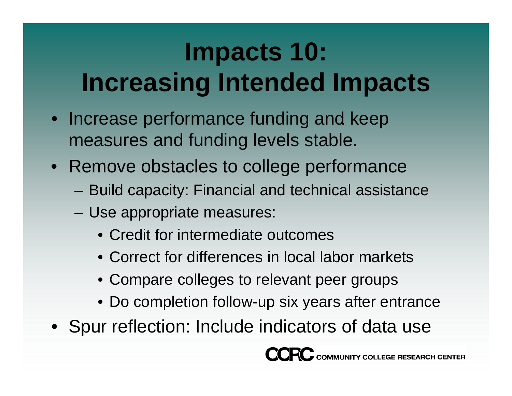## **Impacts 10: I i I d dI Increasing Intended Impacts**

- Increase performance funding and keep measures and funding levels stable.
- Remove obstacles to college performance
	- Build capacity: Financial and technical assistance
	- Use appropriate measures:
		- Credit for intermediate outcomes
		- Correct for differences in local labor markets
		- Compare colleges to relevant peer groups
		- Do completion follow-up six years after entrance
- Spur reflection: Include indicators of data use

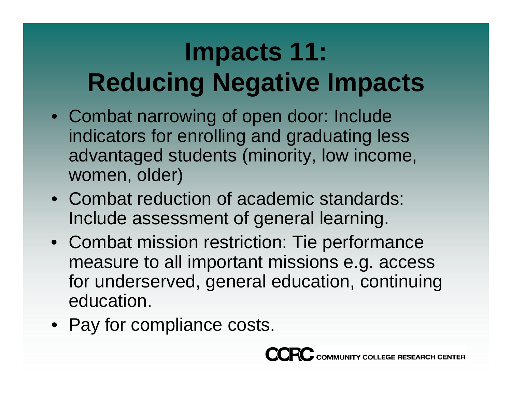## **Impacts 11: Reducing Negative Impacts**

- Combat narrowing of open door: Include indicators for enrolling and graduating less advantaged students (minority, low income, women, older)
- Combat reduction of academic standards: Include assessment of general learning.
- Combat mission restriction: Tie performance measure to all important missions e.g. access for underserved, general education, continuing education.
- Pay for compliance costs.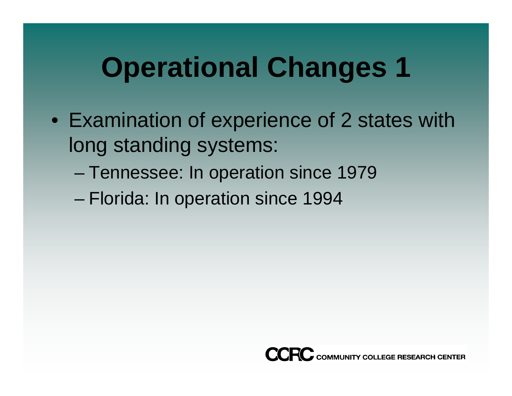# **Operational Changes 1**

- Examination of experience of 2 states with long standing systems:
	- –– Tennessee: In operation since 1979
	- Florida: In operation since 1994

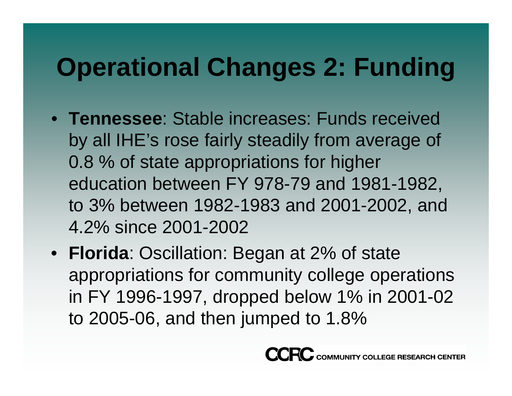#### **Operational Changes 2: Funding**

- **Tennessee**: Stable increases: Funds received by all IHE's rose fairly steadily from average of 0.8 % of state appropriations for higher education between FY 978-79 and 1981-1982, to 3% between 1982-1983 and 2001-2002, and 4.2% since 2001-2002
- **Florida**: Oscillation: Began at 2% of state appropriations for community college operations in FY 1996-1997, dropped below 1% in 2001-02 to 2005-06, and then jumped to 1.8%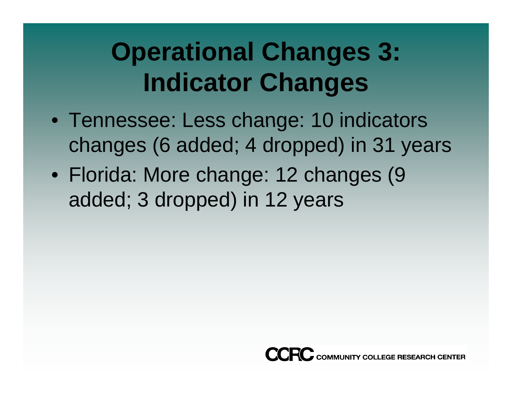#### **Operational Changes 3: I di Ch ndicator Changes**

- Tennessee: Less change: 10 indicators changes (6 added; 4 dropped) in 31 years
- Florida: More change: 12 changes (9 added; 3 dropped) in 12 years

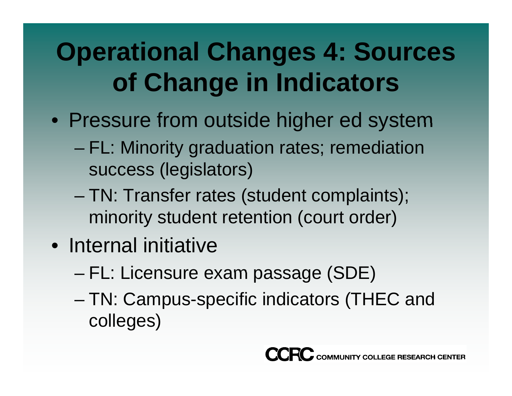## **Operational Changes 4: Sources of Ch i I di f Change in ndicators**

- Pressure from outside higher ed system
	- FL: Minority graduation rates; remediation success (legislators)
	- – TN: Transfer rates (student complaints); minority student retention (court order)
- Internal initiative
	- –– FL: Licensure exam passage (SDE)
	- – TN: Campus-specific indicators (THEC and colleges)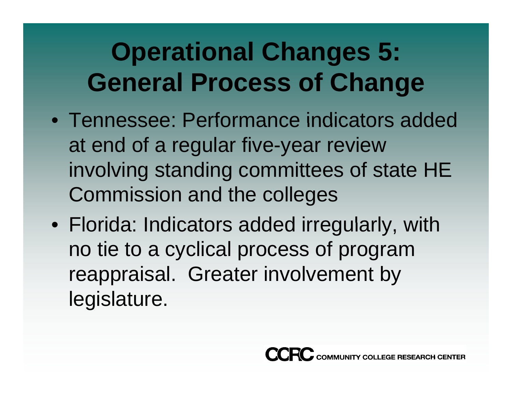#### **Operational Changes 5: General Process of Change**

- Tennessee: Performance indicators added at end of a regular five-year review involving standing committees of state HE Commission and the colleges
- $\bullet\,$  Florida: Indicators added irregularly, with no tie to a cyclical process of program reappraisal. Greater involvement by legislature.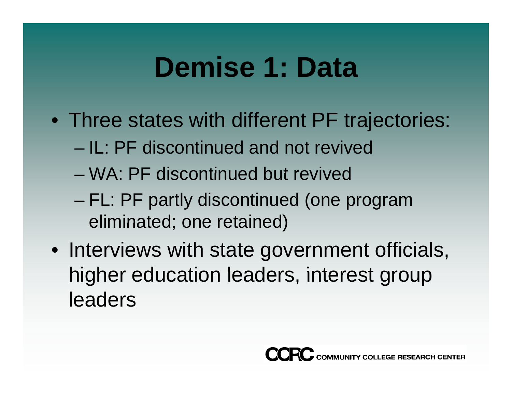## **Demise 1: Data**

- Three states with different PF trajectories:
	- IL: PF discontinued and not revived
	- WA: PF discontinued but revived
	- – FL: PF partly discontinued (one program eliminated; one retained)
- Interviews with state government officials, higher education leaders, interest group leaders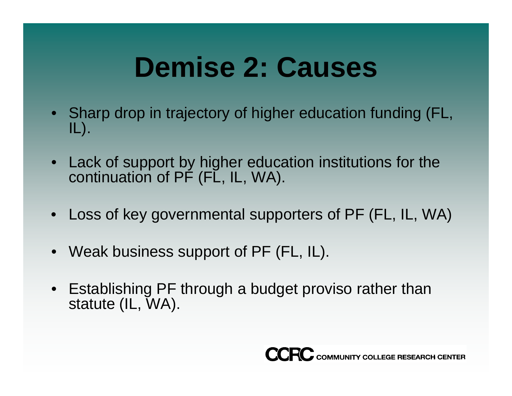# **Demise 2: Causes**

- Sharp drop in trajectory of higher education funding (FL, IL).
- Lack of support by higher education institutions for the continuation of PF (FL, IL, WA).
- Loss of key governmental supporters of PF (FL, IL, WA)
- Weak business support of PF (FL, IL).
- Establishing PF through a budget proviso rather than statute (IL, WA).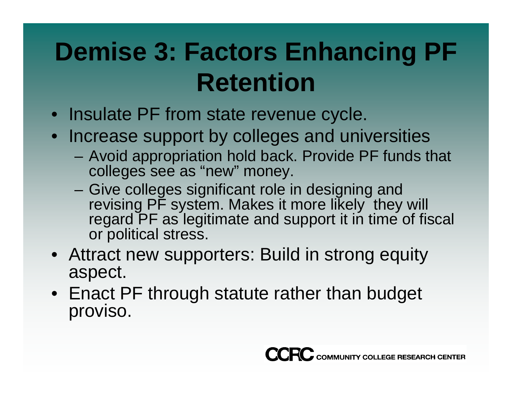## **Demise 3: Factors Enhancing PF R i etent ion**

- Insulate PF from state revenue cycle.
- Increase support by colleges and universities
	- Avoid appropriation hold back. Provide PF funds that colleges see as "new " money.
	- Give colleges significant role in designing and revising PF system. Makes it more likely they will regard PF as legitimate and support it in time of fiscal or political stress.
- Attract new supporters: Build in strong equity aspect.
- Enact PF through statute rather than budget proviso.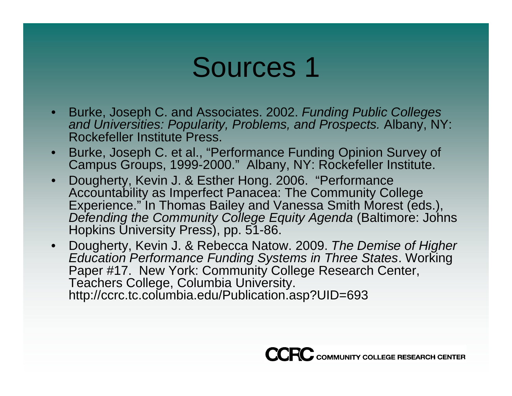#### Sources 1

- Burke, Joseph C. and Associates. 2002. *Funding Public Colleges and Universities: Popularity Problems and Prospects Popularity, Problems, Prospects.* Albany NY: Albany, NY: Rockefeller Institute Press.
- • Burke, Joseph C. et al., "Performance Funding Opinion Survey of Campus Groups, 1999-2000." Albany, NY: Rockefeller Institute.
- • Dougherty, Kevin J. & Esther Hong. 2006. "Performance Accountability as Imperfect Panacea: The Community College Experience." In Thomas Bailey and Vanessa Smith Morest (eds.), *Defending the Community College Equity Agenda* (Baltimore: Johns Hopkins University Press), pp. 51-86.
- $\bullet$  Dougherty, Kevin J. & Rebecca Natow. 2009. *The Demise of Higher Education Performance Funding Systems in Three States*. Working Paper #17 New York: Community College Research Center, Teachers College, Columbia University. http://ccrc.tc.columbia.edu/Publication.asp?UID=693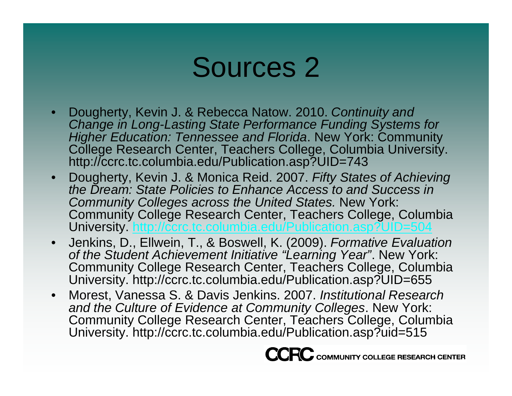#### Sources 2

- • Dougherty, Kevin J. & Rebecca Natow. 2010. *Continuity and Change in Long -Lasting State Performance Funding Systems for Lasting Higher Education: Tennessee and Florida*. New York: Community College Research Center, Teachers College, Columbia University. http://ccrc.tc.columbia.edu/Publication.asp?UID=743
- $\bullet$ • Dougherty, Kevin J. & Monica Reid. 2007. Fifty States of Achieving *the Dream: State Policies to Enhance Access to and Success in Community Colleges across the United States.* New York: Community College Research Center, Teachers College, Columbia University\_<u>http://ccrc.tc.columbia.edu/Publication.asp?UID=504</u> =504
- $\bullet$  Jenkins, D., Ellwein, T., & Boswell, K. (2009). *Formative Evaluation of the Student Achievement Initiative "Learning Year"*. New York: Community College Research Center, Teachers College, Columbia University. http://ccrc.tc.columbia.edu/Publication.asp?UID=655
- $\bullet$  Morest, Vanessa S. & Davis Jenkins. 2007. *Institutional Research and the Culture of Evidence at Community Colleges*. New York: Community College Research Center, Teachers College, Columbia University. http://ccrc.tc.columbia.edu/Publication.asp?uid=515